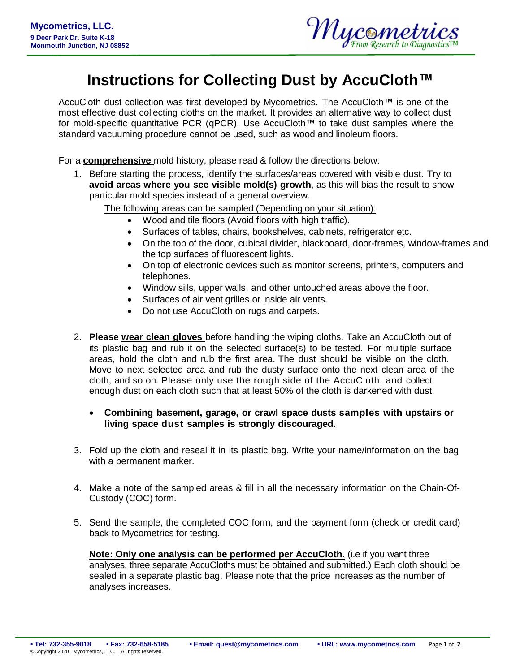

## **Instructions for Collecting Dust by AccuCloth™**

AccuCloth dust collection was first developed by Mycometrics. The AccuCloth™ is one of the most effective dust collecting cloths on the market. It provides an alternative way to collect dust for mold-specific quantitative PCR (qPCR). Use AccuCloth™ to take dust samples where the standard vacuuming procedure cannot be used, such as wood and linoleum floors.

For a **comprehensive** mold history, please read & follow the directions below:

1. Before starting the process, identify the surfaces/areas covered with visible dust. Try to **avoid areas where you see visible mold(s) growth**, as this will bias the result to show particular mold species instead of a general overview.

The following areas can be sampled (Depending on your situation):

- Wood and tile floors (Avoid floors with high traffic).
- Surfaces of tables, chairs, bookshelves, cabinets, refrigerator etc.
- On the top of the door, cubical divider, blackboard, door-frames, window-frames and the top surfaces of fluorescent lights.
- On top of electronic devices such as monitor screens, printers, computers and telephones.
- Window sills, upper walls, and other untouched areas above the floor.
- Surfaces of air vent grilles or inside air vents.
- Do not use AccuCloth on rugs and carpets.
- 2. **Please wear clean gloves** before handling the wiping cloths. Take an AccuCloth out of its plastic bag and rub it on the selected surface(s) to be tested. For multiple surface areas, hold the cloth and rub the first area. The dust should be visible on the cloth. Move to next selected area and rub the dusty surface onto the next clean area of the cloth, and so on. Please only use the rough side of the AccuCloth, and collect enough dust on each cloth such that at least 50% of the cloth is darkened with dust.

## **Combining basement, garage, or crawl space dusts samples with upstairs or living space dust samples is strongly discouraged.**

- 3. Fold up the cloth and reseal it in its plastic bag. Write your name/information on the bag with a permanent marker.
- 4. Make a note of the sampled areas & fill in all the necessary information on the Chain-Of-Custody (COC) form.
- 5. Send the sample, the completed COC form, and the payment form (check or credit card) back to Mycometrics for testing.

**Note: Only one analysis can be performed per AccuCloth.** (i.e if you want three analyses, three separate AccuCloths must be obtained and submitted.) Each cloth should be sealed in a separate plastic bag. Please note that the price increases as the number of analyses increases.